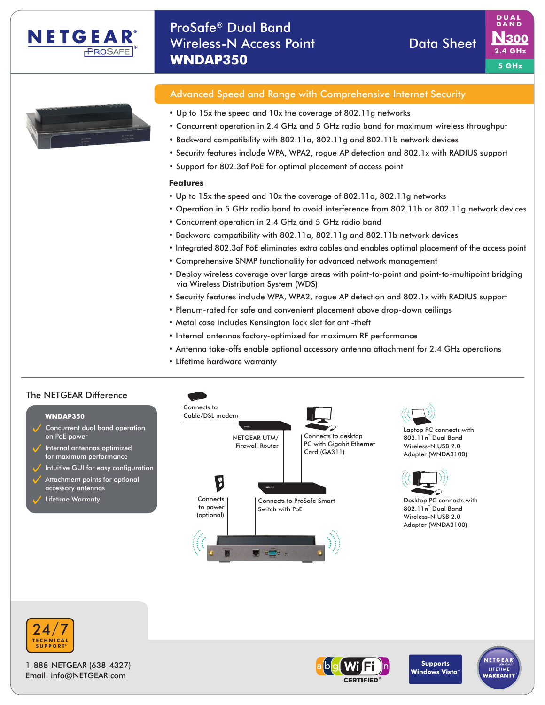

# ProSafe® Dual Band Wireless-N Access Point New York Data Sheet **WNDAP350**





# Advanced Speed and Range with Comprehensive Internet Security

- Up to 15x the speed and 10x the coverage of 802.11g networks
- Concurrent operation in 2.4 GHz and 5 GHz radio band for maximum wireless throughput
- Backward compatibility with 802.11a, 802.11g and 802.11b network devices
- Security features include WPA, WPA2, rogue AP detection and 802.1x with RADIUS support
- Support for 802.3af PoE for optimal placement of access point

#### **Features**

- Up to 15x the speed and 10x the coverage of 802.11a, 802.11g networks
- Operation in 5 GHz radio band to avoid interference from 802.11b or 802.11g network devices
- Concurrent operation in 2.4 GHz and 5 GHz radio band
- Backward compatibility with 802.11a, 802.11g and 802.11b network devices
- Integrated 802.3af PoE eliminates extra cables and enables optimal placement of the access point
- Comprehensive SNMP functionality for advanced network management
- Deploy wireless coverage over large areas with point-to-point and point-to-multipoint bridging via Wireless Distribution System (WDS)
- Security features include WPA, WPA2, rogue AP detection and 802.1x with RADIUS support
- Plenum-rated for safe and convenient placement above drop-down ceilings
- Metal case includes Kensington lock slot for anti-theft
- Internal antennas factory-optimized for maximum RF performance
- Antenna take-offs enable optional accessory antenna attachment for 2.4 GHz operations
- Lifetime hardware warranty

### The NETGEAR Difference The NETGEAR Difference





1-888-NETGEAR (638-4327) Email: info@NETGEAR.com